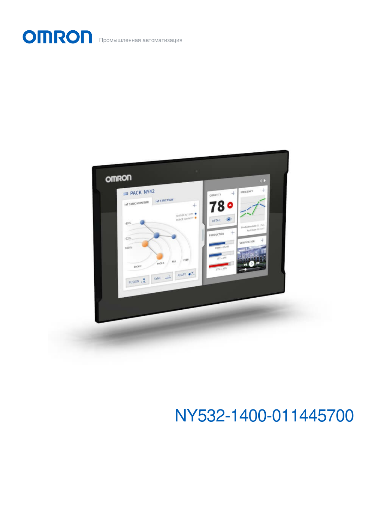OMRON Промышленная автоматизация



# NY532-1400-011445700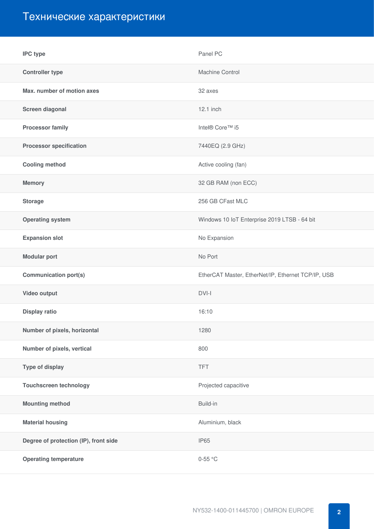# Технические характеристики

| <b>IPC type</b>                       | Panel PC                                           |
|---------------------------------------|----------------------------------------------------|
| <b>Controller type</b>                | Machine Control                                    |
| Max. number of motion axes            | 32 axes                                            |
| Screen diagonal                       | 12.1 inch                                          |
| <b>Processor family</b>               | Intel® Core™ i5                                    |
| <b>Processor specification</b>        | 7440EQ (2.9 GHz)                                   |
| <b>Cooling method</b>                 | Active cooling (fan)                               |
| <b>Memory</b>                         | 32 GB RAM (non ECC)                                |
| <b>Storage</b>                        | 256 GB CFast MLC                                   |
| <b>Operating system</b>               | Windows 10 IoT Enterprise 2019 LTSB - 64 bit       |
| <b>Expansion slot</b>                 | No Expansion                                       |
| <b>Modular port</b>                   | No Port                                            |
| <b>Communication port(s)</b>          | EtherCAT Master, EtherNet/IP, Ethernet TCP/IP, USB |
| Video output                          | $DVI-I$                                            |
| <b>Display ratio</b>                  | 16:10                                              |
| Number of pixels, horizontal          | 1280                                               |
| Number of pixels, vertical            | 800                                                |
| Type of display                       | <b>TFT</b>                                         |
| <b>Touchscreen technology</b>         | Projected capacitive                               |
| <b>Mounting method</b>                | Build-in                                           |
| <b>Material housing</b>               | Aluminium, black                                   |
| Degree of protection (IP), front side | <b>IP65</b>                                        |
| <b>Operating temperature</b>          | $0-55$ °C                                          |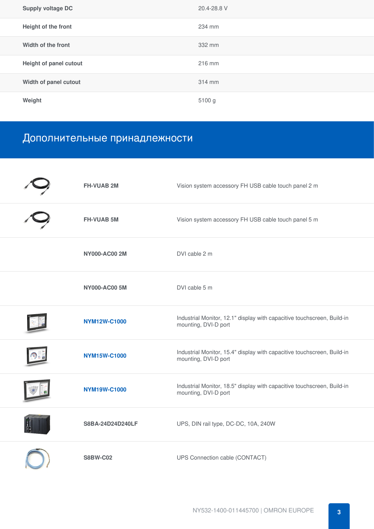| <b>Supply voltage DC</b> | 20.4-28.8 V |
|--------------------------|-------------|
| Height of the front      | 234 mm      |
| Width of the front       | 332 mm      |
| Height of panel cutout   | 216 mm      |
| Width of panel cutout    | 314 mm      |
| Weight                   | 5100 g      |

## Дополнительные принадлежности

| <b>FH-VUAB 2M</b>    | Vision system accessory FH USB cable touch panel 2 m                                            |
|----------------------|-------------------------------------------------------------------------------------------------|
| <b>FH-VUAB 5M</b>    | Vision system accessory FH USB cable touch panel 5 m                                            |
| <b>NY000-AC00 2M</b> | DVI cable 2 m                                                                                   |
| <b>NY000-AC00 5M</b> | DVI cable 5 m                                                                                   |
| <b>NYM12W-C1000</b>  | Industrial Monitor, 12.1" display with capacitive touchscreen, Build-in<br>mounting, DVI-D port |
| <b>NYM15W-C1000</b>  | Industrial Monitor, 15.4" display with capacitive touchscreen, Build-in<br>mounting, DVI-D port |
| <b>NYM19W-C1000</b>  | Industrial Monitor, 18.5" display with capacitive touchscreen, Build-in<br>mounting, DVI-D port |
| S8BA-24D24D240LF     | UPS, DIN rail type, DC-DC, 10A, 240W                                                            |
| <b>S8BW-C02</b>      | UPS Connection cable (CONTACT)                                                                  |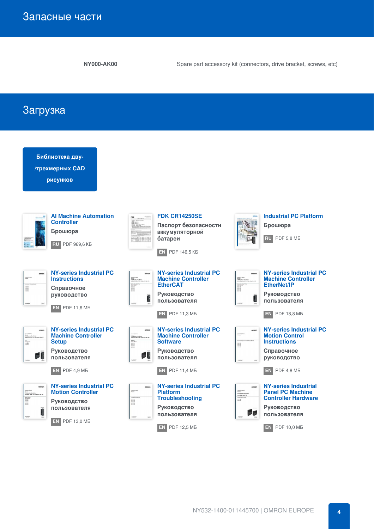**NY000-AK00** Spare part accessory kit (connectors, drive bracket, screws, etc)

Загрузка

| Библиотека дву-<br>/трехмерных CAD<br>рисунков                                                                                                                                                                              |                                                                                                                                                                                                                                                                                                                                                                                                                                                                                                                                                                                                                                                                         |                                                                                                                                                                                                                                                        |
|-----------------------------------------------------------------------------------------------------------------------------------------------------------------------------------------------------------------------------|-------------------------------------------------------------------------------------------------------------------------------------------------------------------------------------------------------------------------------------------------------------------------------------------------------------------------------------------------------------------------------------------------------------------------------------------------------------------------------------------------------------------------------------------------------------------------------------------------------------------------------------------------------------------------|--------------------------------------------------------------------------------------------------------------------------------------------------------------------------------------------------------------------------------------------------------|
| <b>Al Machine Automation</b><br><b>Controller</b><br>Брошюра<br><b>RU</b> PDF 969,6 KB                                                                                                                                      | <b>FDK CR14250SE</b><br>Паспорт безопасности<br>аккумуляторной<br>батареи<br><b>EN PDF 146,5 KB</b>                                                                                                                                                                                                                                                                                                                                                                                                                                                                                                                                                                     | <b>Industrial PC Platform</b><br>Брошюра<br>RU PDF 5,8 MB                                                                                                                                                                                              |
| <b>NY-series Industrial PC</b><br><b>Instructions</b><br>Справочное<br>руководство<br>EN.<br><b>PDF 11,6 MB</b>                                                                                                             | <b>NY-series Industrial PC</b><br>omnon<br><b>Machine Controller</b><br>styans<br>IPC Mastiles Can Shiller<br>In Kushtai Rosel PC / Indi<br><b>EtherCAT</b><br>$\begin{tabular}{ c c } \hline \multicolumn{1}{ c }{\multicolumn{1}{ c }{\multicolumn{1}{ c }{\multicolumn{1}{ c }{\multicolumn{1}{ c }{\multicolumn{1}{ c }{\multicolumn{1}{c}}}}}} \hline \multicolumn{1}{ c }{\multicolumn{1}{ c }{\multicolumn{1}{ c }{\multicolumn{1}{ c }{\multicolumn{1}{ c }{\multicolumn{1}{ c }{\multicolumn{1}{ c }{\multicolumn{1}{ c }{\multicolumn{1}{ c }{\multicolumn{1}{ c }{\multicolumn{1}{ c }{\multicolumn$<br>Руководство<br>пользователя<br><b>EN</b> PDF 11,3 MB | <b>NY-series Industrial PC</b><br><b>Machine Controller</b><br><b>EtherNet/IP</b><br>Руководство<br>пользователя<br>$EN$ PDF 18,8 MB                                                                                                                   |
| <b>NY-series Industrial PC</b><br>omeon<br><b>Machine Controller</b><br>strume<br>IPC Mashine Cardia for<br>Industrial Pasal PC Hede<br>÷<br><b>Setup</b><br><b>Руководство</b><br>пользователя<br><b>PDF 4,9 MB</b><br>EN. | <b>NY-series Industrial PC</b><br><b>Machine Controller</b><br>stume<br>190 Masters Can Foller<br>In Eughtei Rosel PC / Industrial But PC<br>I<br><b>Software</b><br><b>Руководство</b><br>пользователя<br><b>PDF 11,4 MB</b><br>EN.                                                                                                                                                                                                                                                                                                                                                                                                                                    | <b>NY-series Industrial PC</b><br><b>Motion Control</b><br><b>Instructions</b><br>H<br>Справочное<br>руководство<br><b>PDF 4,8 MB</b><br>EN I                                                                                                          |
| <b>NY-series Industrial PC</b><br>ompon<br><b>Motion Controller</b><br>oranis<br>190 Washine Coolfolier<br>Industrial Panel PC / Industrial Box PC<br><b>Руководство</b><br>пользователя<br>Q<br>EN.<br>PDF 13,0 MB         | <b>NY-series Industrial PC</b><br>omoon<br>100333.<br>3740'er<br><b>Platform</b><br><b>Troubleshooting</b><br>I<br>Руководство<br>пользователя<br><b>PDF 12.5 MB</b><br>EN                                                                                                                                                                                                                                                                                                                                                                                                                                                                                              | <b>NY-series Industrial</b><br><b>Panel PC Machine</b><br>tournal<br>IPO Maskins Central<br>Inde after Pasal PO<br>International Maskins<br>ISO Maskins Land<br><b>Controller Hardware</b><br>Руководство<br>пользователя<br><b>PDF 10,0 MB</b><br>EN. |